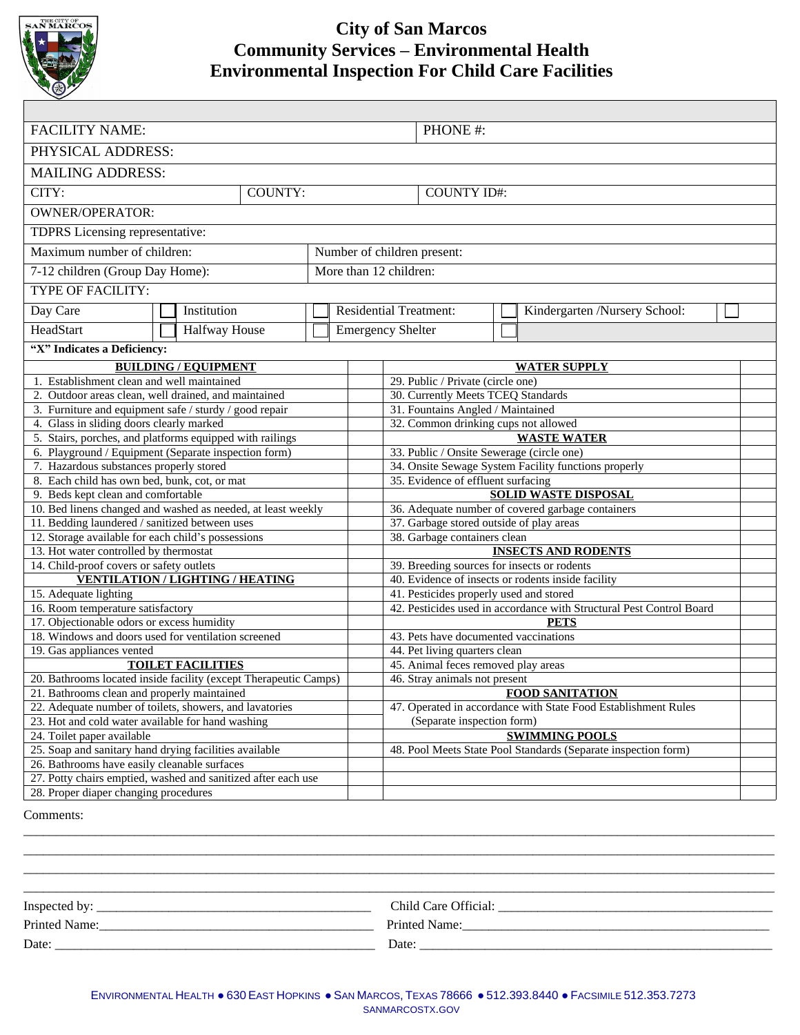

# **City of San Marcos Community Services – Environmental Health Environmental Inspection For Child Care Facilities**

| <b>FACILITY NAME:</b>                                                                                        |  |                             |  |                        |                               | PHONE#:                                                                                      |                          |                               |  |  |  |
|--------------------------------------------------------------------------------------------------------------|--|-----------------------------|--|------------------------|-------------------------------|----------------------------------------------------------------------------------------------|--------------------------|-------------------------------|--|--|--|
| PHYSICAL ADDRESS:                                                                                            |  |                             |  |                        |                               |                                                                                              |                          |                               |  |  |  |
| <b>MAILING ADDRESS:</b>                                                                                      |  |                             |  |                        |                               |                                                                                              |                          |                               |  |  |  |
| COUNTY:<br>CITY:                                                                                             |  |                             |  | <b>COUNTY ID#:</b>     |                               |                                                                                              |                          |                               |  |  |  |
| <b>OWNER/OPERATOR:</b>                                                                                       |  |                             |  |                        |                               |                                                                                              |                          |                               |  |  |  |
| TDPRS Licensing representative:                                                                              |  |                             |  |                        |                               |                                                                                              |                          |                               |  |  |  |
| Maximum number of children:                                                                                  |  |                             |  |                        | Number of children present:   |                                                                                              |                          |                               |  |  |  |
| 7-12 children (Group Day Home):                                                                              |  |                             |  | More than 12 children: |                               |                                                                                              |                          |                               |  |  |  |
| <b>TYPE OF FACILITY:</b>                                                                                     |  |                             |  |                        |                               |                                                                                              |                          |                               |  |  |  |
| Day Care                                                                                                     |  | Institution                 |  |                        | <b>Residential Treatment:</b> |                                                                                              |                          | Kindergarten /Nursery School: |  |  |  |
| HeadStart                                                                                                    |  | Halfway House               |  |                        |                               |                                                                                              | <b>Emergency Shelter</b> |                               |  |  |  |
| "X" Indicates a Deficiency:                                                                                  |  |                             |  |                        |                               |                                                                                              |                          |                               |  |  |  |
|                                                                                                              |  | <b>BUILDING / EQUIPMENT</b> |  |                        |                               | <b>WATER SUPPLY</b>                                                                          |                          |                               |  |  |  |
| 1. Establishment clean and well maintained                                                                   |  |                             |  |                        |                               | 29. Public / Private (circle one)                                                            |                          |                               |  |  |  |
| 2. Outdoor areas clean, well drained, and maintained                                                         |  |                             |  |                        |                               | 30. Currently Meets TCEQ Standards                                                           |                          |                               |  |  |  |
| 3. Furniture and equipment safe / sturdy / good repair                                                       |  |                             |  |                        |                               | 31. Fountains Angled / Maintained                                                            |                          |                               |  |  |  |
| 4. Glass in sliding doors clearly marked                                                                     |  |                             |  |                        |                               | 32. Common drinking cups not allowed                                                         |                          |                               |  |  |  |
| 5. Stairs, porches, and platforms equipped with railings                                                     |  |                             |  |                        |                               | <b>WASTE WATER</b>                                                                           |                          |                               |  |  |  |
| 6. Playground / Equipment (Separate inspection form)                                                         |  |                             |  |                        |                               | 33. Public / Onsite Sewerage (circle one)                                                    |                          |                               |  |  |  |
| 7. Hazardous substances properly stored                                                                      |  |                             |  |                        |                               | 34. Onsite Sewage System Facility functions properly                                         |                          |                               |  |  |  |
| 8. Each child has own bed, bunk, cot, or mat                                                                 |  |                             |  |                        |                               | 35. Evidence of effluent surfacing                                                           |                          |                               |  |  |  |
| 9. Beds kept clean and comfortable                                                                           |  |                             |  |                        |                               | <b>SOLID WASTE DISPOSAL</b>                                                                  |                          |                               |  |  |  |
| 10. Bed linens changed and washed as needed, at least weekly                                                 |  |                             |  |                        |                               | 36. Adequate number of covered garbage containers                                            |                          |                               |  |  |  |
| 11. Bedding laundered / sanitized between uses                                                               |  |                             |  |                        |                               | 37. Garbage stored outside of play areas                                                     |                          |                               |  |  |  |
| 12. Storage available for each child's possessions                                                           |  |                             |  |                        |                               | 38. Garbage containers clean                                                                 |                          |                               |  |  |  |
| 13. Hot water controlled by thermostat                                                                       |  |                             |  |                        |                               | <b>INSECTS AND RODENTS</b>                                                                   |                          |                               |  |  |  |
| 14. Child-proof covers or safety outlets                                                                     |  |                             |  |                        |                               | 39. Breeding sources for insects or rodents                                                  |                          |                               |  |  |  |
| <b>VENTILATION / LIGHTING / HEATING</b>                                                                      |  |                             |  |                        |                               | 40. Evidence of insects or rodents inside facility                                           |                          |                               |  |  |  |
| 15. Adequate lighting                                                                                        |  |                             |  |                        |                               | 41. Pesticides properly used and stored                                                      |                          |                               |  |  |  |
| 16. Room temperature satisfactory                                                                            |  |                             |  |                        |                               | 42. Pesticides used in accordance with Structural Pest Control Board                         |                          |                               |  |  |  |
| 17. Objectionable odors or excess humidity                                                                   |  |                             |  |                        |                               | <b>PETS</b>                                                                                  |                          |                               |  |  |  |
| 18. Windows and doors used for ventilation screened                                                          |  |                             |  |                        |                               | 43. Pets have documented vaccinations                                                        |                          |                               |  |  |  |
| 19. Gas appliances vented                                                                                    |  |                             |  |                        |                               | 44. Pet living quarters clean                                                                |                          |                               |  |  |  |
| <b>TOILET FACILITIES</b>                                                                                     |  |                             |  |                        |                               | 45. Animal feces removed play areas                                                          |                          |                               |  |  |  |
| 20. Bathrooms located inside facility (except Therapeutic Camps)                                             |  |                             |  |                        |                               | 46. Stray animals not present                                                                |                          |                               |  |  |  |
| 21. Bathrooms clean and properly maintained                                                                  |  |                             |  |                        |                               | <b>FOOD SANITATION</b>                                                                       |                          |                               |  |  |  |
| 22. Adequate number of toilets, showers, and lavatories<br>23. Hot and cold water available for hand washing |  |                             |  |                        |                               | 47. Operated in accordance with State Food Establishment Rules<br>(Separate inspection form) |                          |                               |  |  |  |
| 24. Toilet paper available                                                                                   |  |                             |  |                        |                               | <b>SWIMMING POOLS</b>                                                                        |                          |                               |  |  |  |
| 25. Soap and sanitary hand drying facilities available                                                       |  |                             |  |                        |                               | 48. Pool Meets State Pool Standards (Separate inspection form)                               |                          |                               |  |  |  |
| 26. Bathrooms have easily cleanable surfaces                                                                 |  |                             |  |                        |                               |                                                                                              |                          |                               |  |  |  |
| 27. Potty chairs emptied, washed and sanitized after each use                                                |  |                             |  |                        |                               |                                                                                              |                          |                               |  |  |  |
| 28. Proper diaper changing procedures                                                                        |  |                             |  |                        |                               |                                                                                              |                          |                               |  |  |  |
|                                                                                                              |  |                             |  |                        |                               |                                                                                              |                          |                               |  |  |  |

Comments:

| Inspected by: | Child Care Official: |
|---------------|----------------------|
| Printed Name: | Printed Name:        |
| Date:         | Date:                |

\_\_\_\_\_\_\_\_\_\_\_\_\_\_\_\_\_\_\_\_\_\_\_\_\_\_\_\_\_\_\_\_\_\_\_\_\_\_\_\_\_\_\_\_\_\_\_\_\_\_\_\_\_\_\_\_\_\_\_\_\_\_\_\_\_\_\_\_\_\_\_\_\_\_\_\_\_\_\_\_\_\_\_\_\_\_\_\_\_\_\_\_\_\_\_\_\_\_\_\_\_\_\_\_\_\_\_\_\_\_\_\_\_\_\_ \_\_\_\_\_\_\_\_\_\_\_\_\_\_\_\_\_\_\_\_\_\_\_\_\_\_\_\_\_\_\_\_\_\_\_\_\_\_\_\_\_\_\_\_\_\_\_\_\_\_\_\_\_\_\_\_\_\_\_\_\_\_\_\_\_\_\_\_\_\_\_\_\_\_\_\_\_\_\_\_\_\_\_\_\_\_\_\_\_\_\_\_\_\_\_\_\_\_\_\_\_\_\_\_\_\_\_\_\_\_\_\_\_\_\_ \_\_\_\_\_\_\_\_\_\_\_\_\_\_\_\_\_\_\_\_\_\_\_\_\_\_\_\_\_\_\_\_\_\_\_\_\_\_\_\_\_\_\_\_\_\_\_\_\_\_\_\_\_\_\_\_\_\_\_\_\_\_\_\_\_\_\_\_\_\_\_\_\_\_\_\_\_\_\_\_\_\_\_\_\_\_\_\_\_\_\_\_\_\_\_\_\_\_\_\_\_\_\_\_\_\_\_\_\_\_\_\_\_\_\_